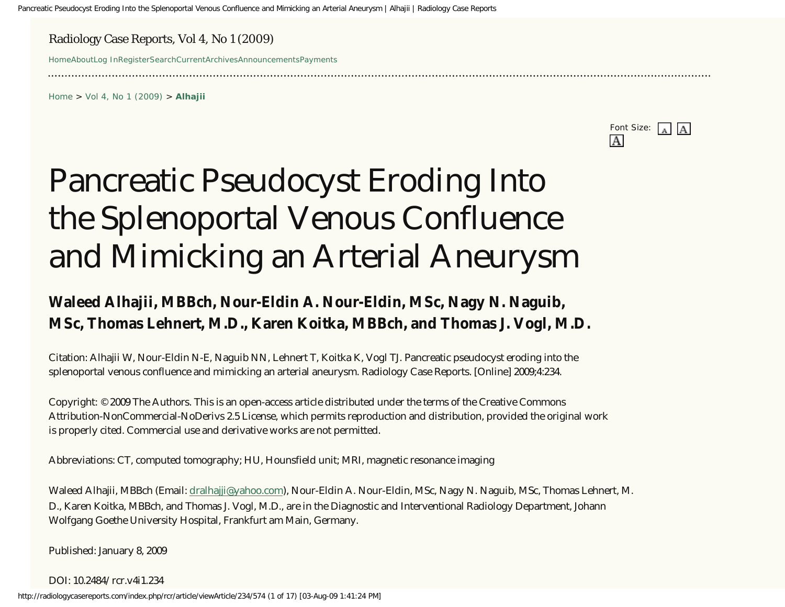Radiology Case Reports, Vol 4, No 1 (2009)

[Home](http://radiologycasereports.com/index.php/rcr/index)[About](http://radiologycasereports.com/index.php/rcr/about)[Log In](http://radiologycasereports.com/index.php/rcr/login)[Register](http://radiologycasereports.com/index.php/rcr/user/register)[Search](http://radiologycasereports.com/index.php/rcr/search)[Current](http://radiologycasereports.com/index.php/rcr/issue/current)[Archives](http://radiologycasereports.com/index.php/rcr/issue/archive)[Announcements](http://radiologycasereports.com/index.php/rcr/announcement)[Payments](http://foliodirect.net/index.php?page=shop.product_details&flypage=shop.flypage&product_id=78&category_id=15&vendor_id=10&prev_browse=&option=com_phpshop&Itemid=6)

[Home](http://radiologycasereports.com/index.php/rcr/index) > [Vol 4, No 1 \(2009\)](http://radiologycasereports.com/index.php/rcr/issue/view/16) > **[Alhajii](http://radiologycasereports.com/index.php/rcr/article/view/234/574)**

| Font Size: $\Box$ |  |
|-------------------|--|
|                   |  |

# Pancreatic Pseudocyst Eroding Into the Splenoportal Venous Confluence and Mimicking an Arterial Aneurysm

## **Waleed Alhajii, MBBch, Nour-Eldin A. Nour-Eldin, MSc, Nagy N. Naguib, MSc, Thomas Lehnert, M.D., Karen Koitka, MBBch, and Thomas J. Vogl, M.D.**

Citation: Alhajii W, Nour-Eldin N-E, Naguib NN, Lehnert T, Koitka K, Vogl TJ. Pancreatic pseudocyst eroding into the splenoportal venous confluence and mimicking an arterial aneurysm. Radiology Case Reports. [Online] 2009;4:234.

Copyright: © 2009 The Authors. This is an open-access article distributed under the terms of the Creative Commons Attribution-NonCommercial-NoDerivs 2.5 License, which permits reproduction and distribution, provided the original work is properly cited. Commercial use and derivative works are not permitted.

Abbreviations: CT, computed tomography; HU, Hounsfield unit; MRI, magnetic resonance imaging

Waleed Alhajii, MBBch (Email: [dralhajji@yahoo.com](mailto:dralhajji@yahoo.com)), Nour-Eldin A. Nour-Eldin, MSc, Nagy N. Naguib, MSc, Thomas Lehnert, M. D., Karen Koitka, MBBch, and Thomas J. Vogl, M.D., are in the Diagnostic and Interventional Radiology Department, Johann Wolfgang Goethe University Hospital, Frankfurt am Main, Germany.

Published: January 8, 2009

#### DOI: 10.2484/rcr.v4i1.234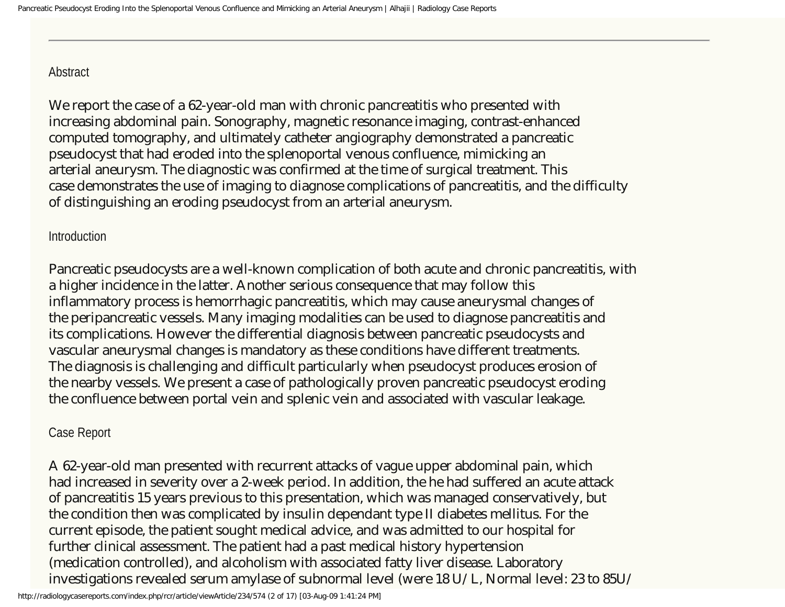#### **Abstract**

We report the case of a 62-year-old man with chronic pancreatitis who presented with increasing abdominal pain. Sonography, magnetic resonance imaging, contrast-enhanced computed tomography, and ultimately catheter angiography demonstrated a pancreatic pseudocyst that had eroded into the splenoportal venous confluence, mimicking an arterial aneurysm. The diagnostic was confirmed at the time of surgical treatment. This case demonstrates the use of imaging to diagnose complications of pancreatitis, and the difficulty of distinguishing an eroding pseudocyst from an arterial aneurysm.

#### **Introduction**

Pancreatic pseudocysts are a well-known complication of both acute and chronic pancreatitis, with a higher incidence in the latter. Another serious consequence that may follow this inflammatory process is hemorrhagic pancreatitis, which may cause aneurysmal changes of the peripancreatic vessels. Many imaging modalities can be used to diagnose pancreatitis and its complications. However the differential diagnosis between pancreatic pseudocysts and vascular aneurysmal changes is mandatory as these conditions have different treatments. The diagnosis is challenging and difficult particularly when pseudocyst produces erosion of the nearby vessels. We present a case of pathologically proven pancreatic pseudocyst eroding the confluence between portal vein and splenic vein and associated with vascular leakage.

### Case Report

A 62-year-old man presented with recurrent attacks of vague upper abdominal pain, which had increased in severity over a 2-week period. In addition, the he had suffered an acute attack of pancreatitis 15 years previous to this presentation, which was managed conservatively, but the condition then was complicated by insulin dependant type II diabetes mellitus. For the current episode, the patient sought medical advice, and was admitted to our hospital for further clinical assessment. The patient had a past medical history hypertension (medication controlled), and alcoholism with associated fatty liver disease. Laboratory investigations revealed serum amylase of subnormal level (were 18 U/L, Normal level: 23 to 85U/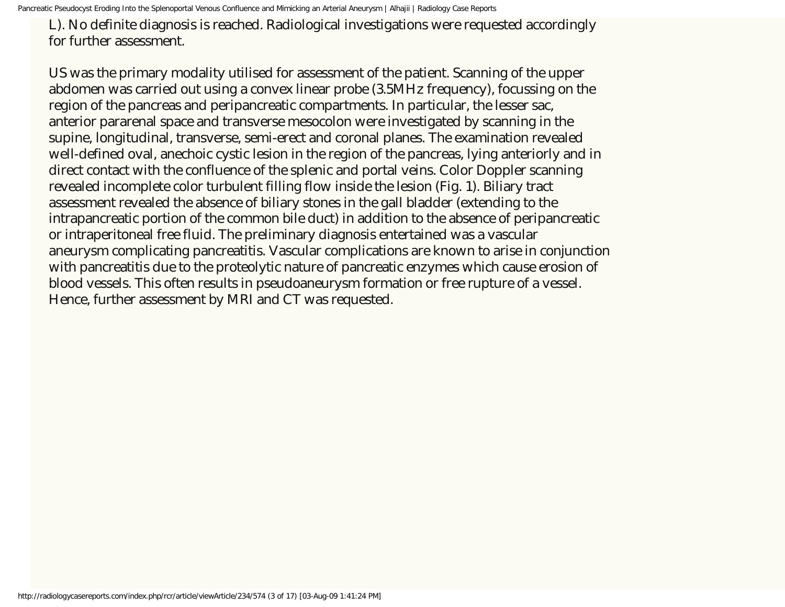L). No definite diagnosis is reached. Radiological investigations were requested accordingly for further assessment.

US was the primary modality utilised for assessment of the patient. Scanning of the upper abdomen was carried out using a convex linear probe (3.5MHz frequency), focussing on the region of the pancreas and peripancreatic compartments. In particular, the lesser sac, anterior pararenal space and transverse mesocolon were investigated by scanning in the supine, longitudinal, transverse, semi-erect and coronal planes. The examination revealed well-defined oval, anechoic cystic lesion in the region of the pancreas, lying anteriorly and in direct contact with the confluence of the splenic and portal veins. Color Doppler scanning revealed incomplete color turbulent filling flow inside the lesion (Fig. 1). Biliary tract assessment revealed the absence of biliary stones in the gall bladder (extending to the intrapancreatic portion of the common bile duct) in addition to the absence of peripancreatic or intraperitoneal free fluid. The preliminary diagnosis entertained was a vascular aneurysm complicating pancreatitis. Vascular complications are known to arise in conjunction with pancreatitis due to the proteolytic nature of pancreatic enzymes which cause erosion of blood vessels. This often results in pseudoaneurysm formation or free rupture of a vessel. Hence, further assessment by MRI and CT was requested.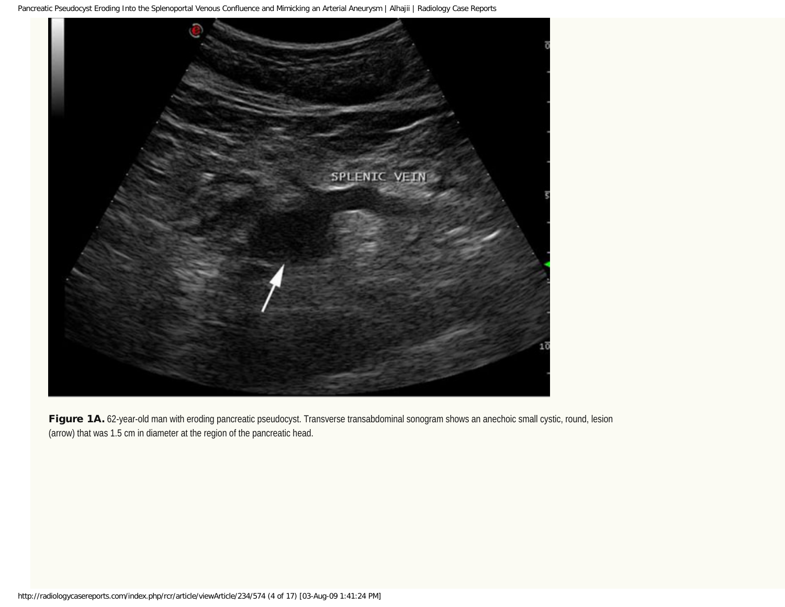

Figure 1A. 62-year-old man with eroding pancreatic pseudocyst. Transverse transabdominal sonogram shows an anechoic small cystic, round, lesion (arrow) that was 1.5 cm in diameter at the region of the pancreatic head.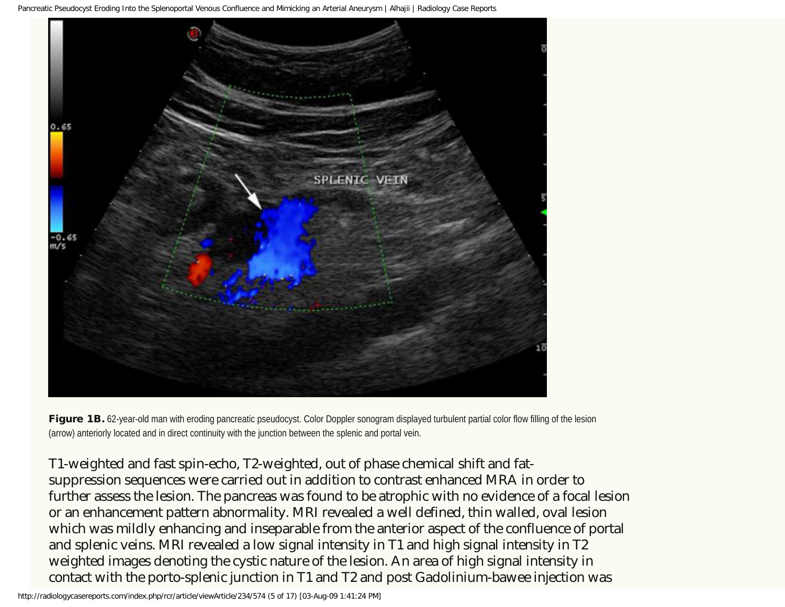

Figure 1B. 62-year-old man with eroding pancreatic pseudocyst. Color Doppler sonogram displayed turbulent partial color flow filling of the lesion (arrow) anteriorly located and in direct continuity with the junction between the splenic and portal vein.

T1-weighted and fast spin-echo, T2-weighted, out of phase chemical shift and fatsuppression sequences were carried out in addition to contrast enhanced MRA in order to further assess the lesion. The pancreas was found to be atrophic with no evidence of a focal lesion or an enhancement pattern abnormality. MRI revealed a well defined, thin walled, oval lesion which was mildly enhancing and inseparable from the anterior aspect of the confluence of portal and splenic veins. MRI revealed a low signal intensity in T1 and high signal intensity in T2 weighted images denoting the cystic nature of the lesion. An area of high signal intensity in contact with the porto-splenic junction in T1 and T2 and post Gadolinium-bawee injection was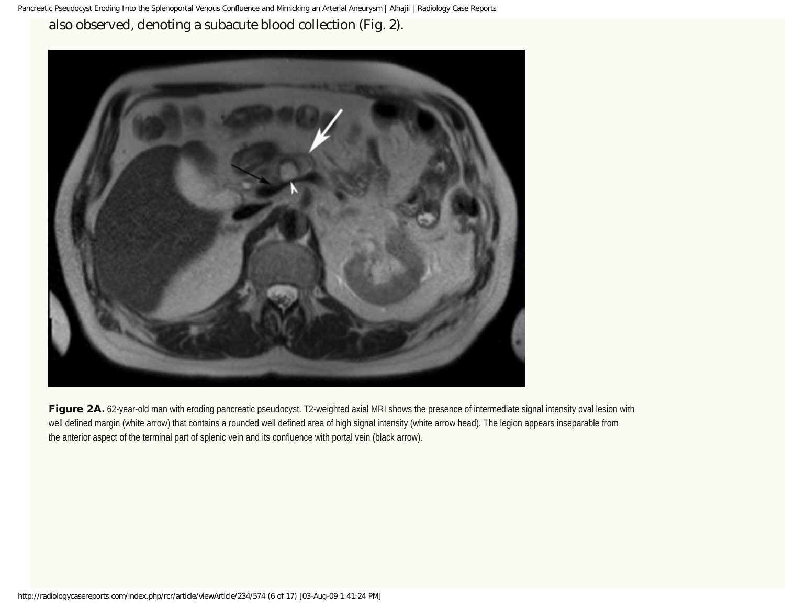also observed, denoting a subacute blood collection (Fig. 2).



Figure 2A. 62-year-old man with eroding pancreatic pseudocyst. T2-weighted axial MRI shows the presence of intermediate signal intensity oval lesion with well defined margin (white arrow) that contains a rounded well defined area of high signal intensity (white arrow head). The legion appears inseparable from the anterior aspect of the terminal part of splenic vein and its confluence with portal vein (black arrow).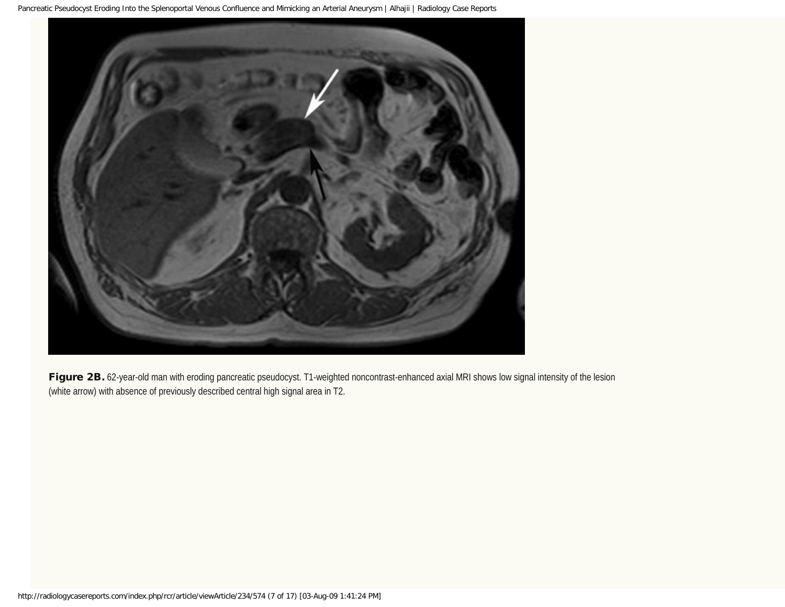

Figure 2B. 62-year-old man with eroding pancreatic pseudocyst. T1-weighted noncontrast-enhanced axial MRI shows low signal intensity of the lesion (white arrow) with absence of previously described central high signal area in T2.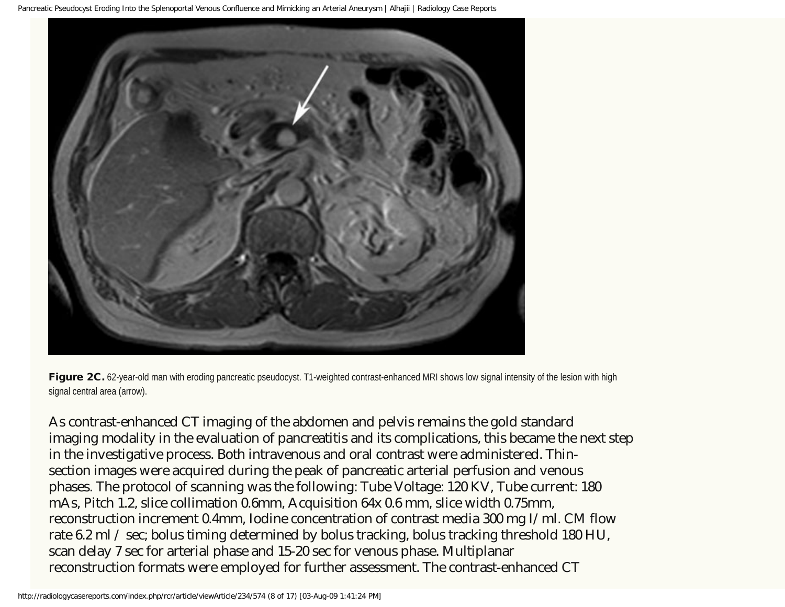

Figure 2C. 62-year-old man with eroding pancreatic pseudocyst. T1-weighted contrast-enhanced MRI shows low signal intensity of the lesion with high signal central area (arrow).

As contrast-enhanced CT imaging of the abdomen and pelvis remains the gold standard imaging modality in the evaluation of pancreatitis and its complications, this became the next step in the investigative process. Both intravenous and oral contrast were administered. Thinsection images were acquired during the peak of pancreatic arterial perfusion and venous phases. The protocol of scanning was the following: Tube Voltage: 120 KV, Tube current: 180 mAs, Pitch 1.2, slice collimation 0.6mm, Acquisition 64x 0.6 mm, slice width 0.75mm, reconstruction increment 0.4mm, Iodine concentration of contrast media 300 mg I/ml. CM flow rate 6.2 ml / sec; bolus timing determined by bolus tracking, bolus tracking threshold 180 HU, scan delay 7 sec for arterial phase and 15-20 sec for venous phase. Multiplanar reconstruction formats were employed for further assessment. The contrast-enhanced CT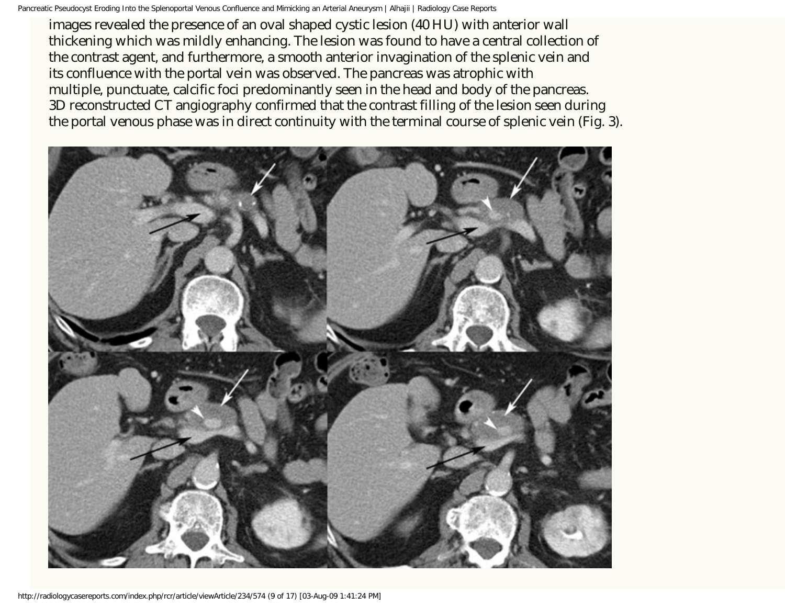images revealed the presence of an oval shaped cystic lesion (40 HU) with anterior wall thickening which was mildly enhancing. The lesion was found to have a central collection of the contrast agent, and furthermore, a smooth anterior invagination of the splenic vein and its confluence with the portal vein was observed. The pancreas was atrophic with multiple, punctuate, calcific foci predominantly seen in the head and body of the pancreas. 3D reconstructed CT angiography confirmed that the contrast filling of the lesion seen during the portal venous phase was in direct continuity with the terminal course of splenic vein (Fig. 3).

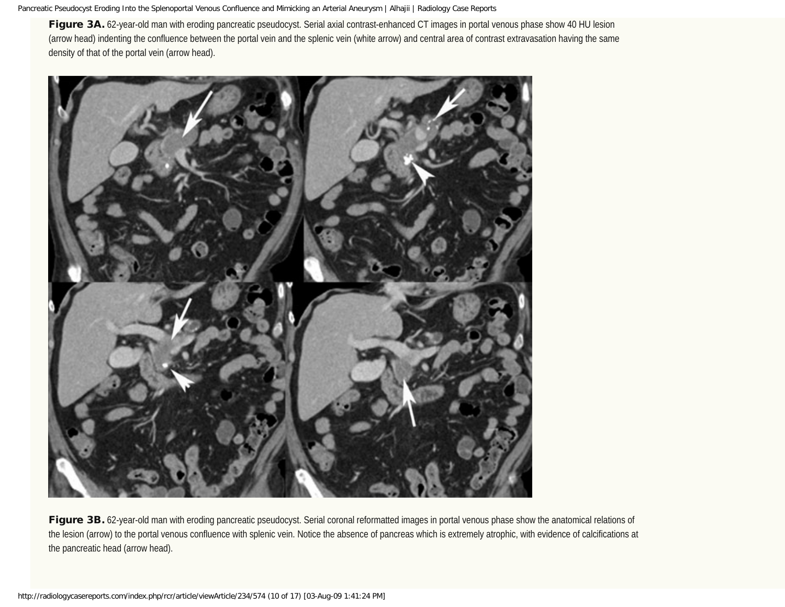Figure 3A. 62-year-old man with eroding pancreatic pseudocyst. Serial axial contrast-enhanced CT images in portal venous phase show 40 HU lesion (arrow head) indenting the confluence between the portal vein and the splenic vein (white arrow) and central area of contrast extravasation having the same density of that of the portal vein (arrow head).



Figure 3B. 62-year-old man with eroding pancreatic pseudocyst. Serial coronal reformatted images in portal venous phase show the anatomical relations of the lesion (arrow) to the portal venous confluence with splenic vein. Notice the absence of pancreas which is extremely atrophic, with evidence of calcifications at the pancreatic head (arrow head).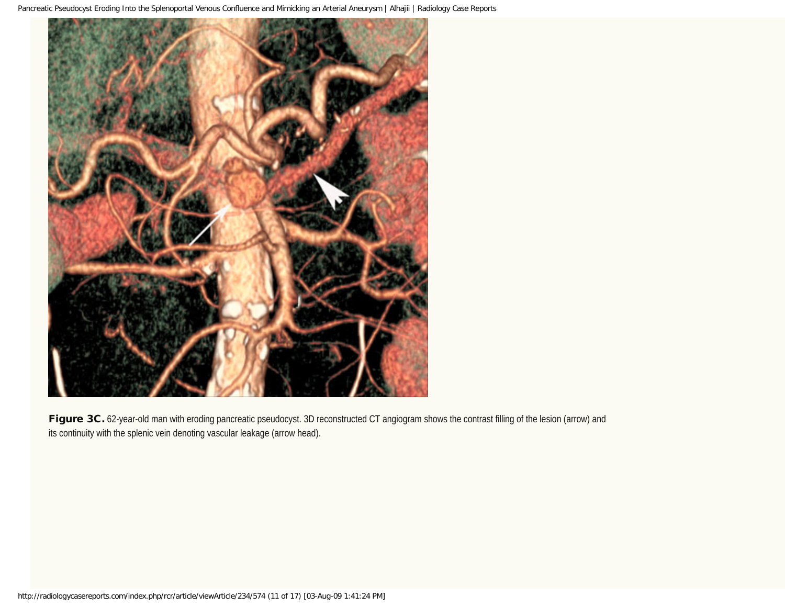

Figure 3C. 62-year-old man with eroding pancreatic pseudocyst. 3D reconstructed CT angiogram shows the contrast filling of the lesion (arrow) and its continuity with the splenic vein denoting vascular leakage (arrow head).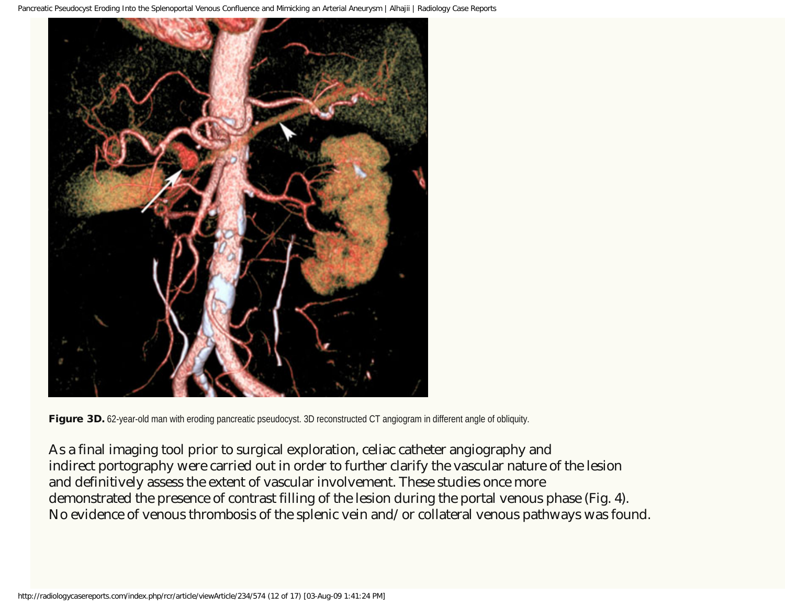

Figure 3D. 62-year-old man with eroding pancreatic pseudocyst. 3D reconstructed CT angiogram in different angle of obliquity.

As a final imaging tool prior to surgical exploration, celiac catheter angiography and indirect portography were carried out in order to further clarify the vascular nature of the lesion and definitively assess the extent of vascular involvement. These studies once more demonstrated the presence of contrast filling of the lesion during the portal venous phase (Fig. 4). No evidence of venous thrombosis of the splenic vein and/or collateral venous pathways was found.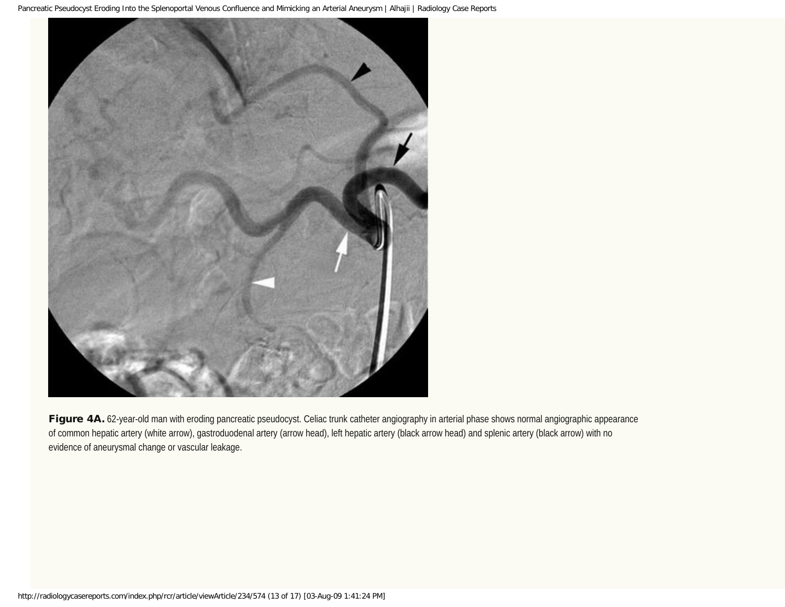

Figure 4A. 62-year-old man with eroding pancreatic pseudocyst. Celiac trunk catheter angiography in arterial phase shows normal angiographic appearance of common hepatic artery (white arrow), gastroduodenal artery (arrow head), left hepatic artery (black arrow head) and splenic artery (black arrow) with no evidence of aneurysmal change or vascular leakage.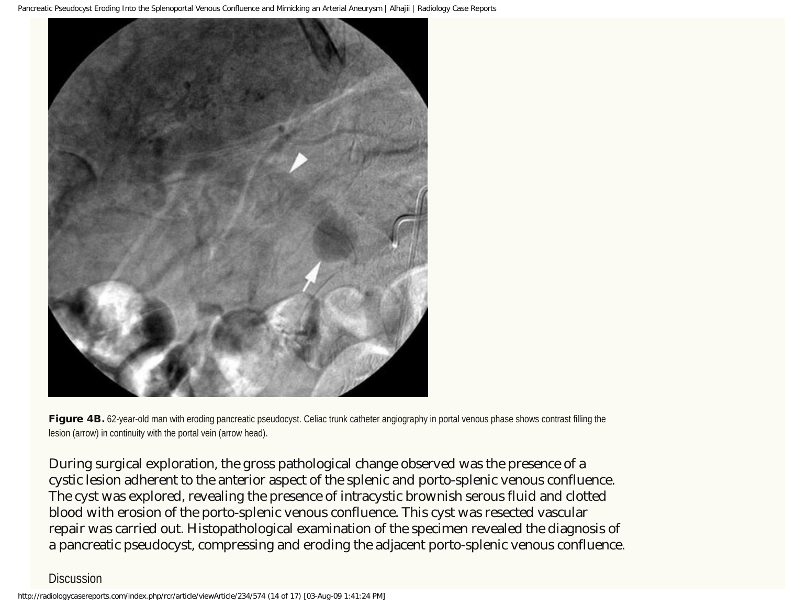

Figure 4B. 62-year-old man with eroding pancreatic pseudocyst. Celiac trunk catheter angiography in portal venous phase shows contrast filling the lesion (arrow) in continuity with the portal vein (arrow head).

During surgical exploration, the gross pathological change observed was the presence of a cystic lesion adherent to the anterior aspect of the splenic and porto-splenic venous confluence. The cyst was explored, revealing the presence of intracystic brownish serous fluid and clotted blood with erosion of the porto-splenic venous confluence. This cyst was resected vascular repair was carried out. Histopathological examination of the specimen revealed the diagnosis of a pancreatic pseudocyst, compressing and eroding the adjacent porto-splenic venous confluence.

#### **Discussion**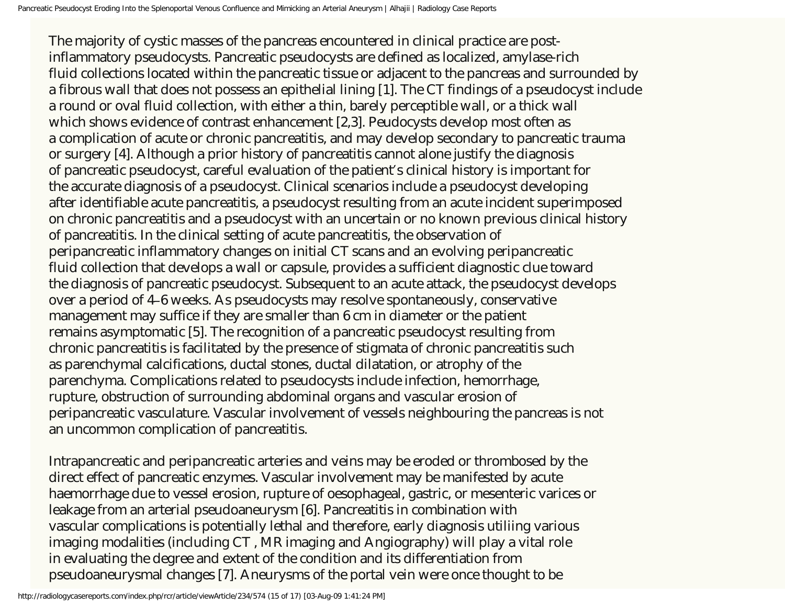The majority of cystic masses of the pancreas encountered in clinical practice are postinflammatory pseudocysts. Pancreatic pseudocysts are defined as localized, amylase-rich fluid collections located within the pancreatic tissue or adjacent to the pancreas and surrounded by a fibrous wall that does not possess an epithelial lining [1]. The CT findings of a pseudocyst include a round or oval fluid collection, with either a thin, barely perceptible wall, or a thick wall which shows evidence of contrast enhancement [2,3]. Peudocysts develop most often as a complication of acute or chronic pancreatitis, and may develop secondary to pancreatic trauma or surgery [4]. Although a prior history of pancreatitis cannot alone justify the diagnosis of pancreatic pseudocyst, careful evaluation of the patient's clinical history is important for the accurate diagnosis of a pseudocyst. Clinical scenarios include a pseudocyst developing after identifiable acute pancreatitis, a pseudocyst resulting from an acute incident superimposed on chronic pancreatitis and a pseudocyst with an uncertain or no known previous clinical history of pancreatitis. In the clinical setting of acute pancreatitis, the observation of peripancreatic inflammatory changes on initial CT scans and an evolving peripancreatic fluid collection that develops a wall or capsule, provides a sufficient diagnostic clue toward the diagnosis of pancreatic pseudocyst. Subsequent to an acute attack, the pseudocyst develops over a period of 4–6 weeks. As pseudocysts may resolve spontaneously, conservative management may suffice if they are smaller than 6 cm in diameter or the patient remains asymptomatic [5]. The recognition of a pancreatic pseudocyst resulting from chronic pancreatitis is facilitated by the presence of stigmata of chronic pancreatitis such as parenchymal calcifications, ductal stones, ductal dilatation, or atrophy of the parenchyma. Complications related to pseudocysts include infection, hemorrhage, rupture, obstruction of surrounding abdominal organs and vascular erosion of peripancreatic vasculature. Vascular involvement of vessels neighbouring the pancreas is not an uncommon complication of pancreatitis.

Intrapancreatic and peripancreatic arteries and veins may be eroded or thrombosed by the direct effect of pancreatic enzymes. Vascular involvement may be manifested by acute haemorrhage due to vessel erosion, rupture of oesophageal, gastric, or mesenteric varices or leakage from an arterial pseudoaneurysm [6]. Pancreatitis in combination with vascular complications is potentially lethal and therefore, early diagnosis utiliing various imaging modalities (including CT , MR imaging and Angiography) will play a vital role in evaluating the degree and extent of the condition and its differentiation from pseudoaneurysmal changes [7]. Aneurysms of the portal vein were once thought to be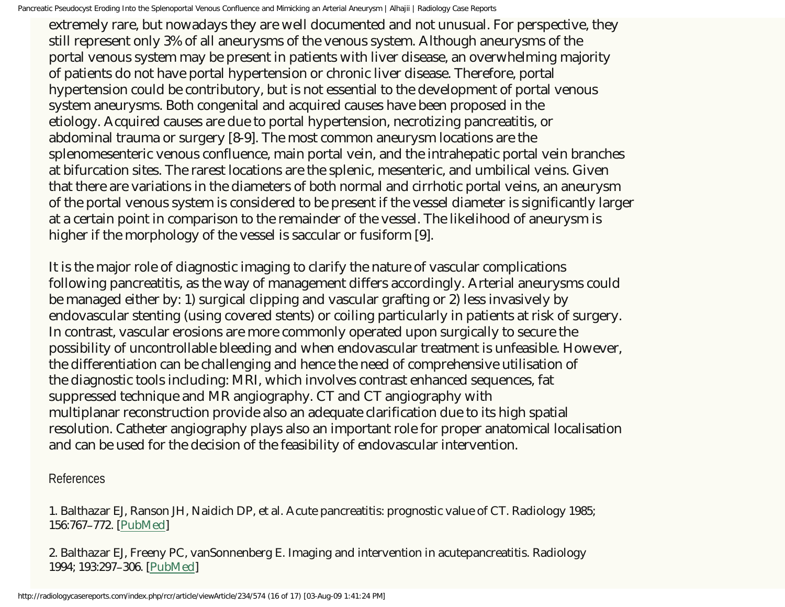extremely rare, but nowadays they are well documented and not unusual. For perspective, they still represent only 3% of all aneurysms of the venous system. Although aneurysms of the portal venous system may be present in patients with liver disease, an overwhelming majority of patients do not have portal hypertension or chronic liver disease. Therefore, portal hypertension could be contributory, but is not essential to the development of portal venous system aneurysms. Both congenital and acquired causes have been proposed in the etiology. Acquired causes are due to portal hypertension, necrotizing pancreatitis, or abdominal trauma or surgery [8-9]. The most common aneurysm locations are the splenomesenteric venous confluence, main portal vein, and the intrahepatic portal vein branches at bifurcation sites. The rarest locations are the splenic, mesenteric, and umbilical veins. Given that there are variations in the diameters of both normal and cirrhotic portal veins, an aneurysm of the portal venous system is considered to be present if the vessel diameter is significantly larger at a certain point in comparison to the remainder of the vessel. The likelihood of aneurysm is higher if the morphology of the vessel is saccular or fusiform [9].

It is the major role of diagnostic imaging to clarify the nature of vascular complications following pancreatitis, as the way of management differs accordingly. Arterial aneurysms could be managed either by: 1) surgical clipping and vascular grafting or 2) less invasively by endovascular stenting (using covered stents) or coiling particularly in patients at risk of surgery. In contrast, vascular erosions are more commonly operated upon surgically to secure the possibility of uncontrollable bleeding and when endovascular treatment is unfeasible. However, the differentiation can be challenging and hence the need of comprehensive utilisation of the diagnostic tools including: MRI, which involves contrast enhanced sequences, fat suppressed technique and MR angiography. CT and CT angiography with multiplanar reconstruction provide also an adequate clarification due to its high spatial resolution. Catheter angiography plays also an important role for proper anatomical localisation and can be used for the decision of the feasibility of endovascular intervention.

#### References

1. Balthazar EJ, Ranson JH, Naidich DP, et al. Acute pancreatitis: prognostic value of CT. Radiology 1985; 156:767–772. [\[PubMed\]](http://www.ncbi.nlm.nih.gov/entrez/query.fcgi?cmd=Retrieve&db=pubmed&dopt=Abstract&list_uids=4023241&query_hl=9&itool=pubmed_docsum)

2. Balthazar EJ, Freeny PC, vanSonnenberg E. Imaging and intervention in acutepancreatitis. Radiology 1994; 193:297–306. [\[PubMed](http://www.ncbi.nlm.nih.gov/entrez/query.fcgi?cmd=Retrieve&db=pubmed&dopt=Abstract&list_uids=7972730&query_hl=9&itool=pubmed_docsum)]